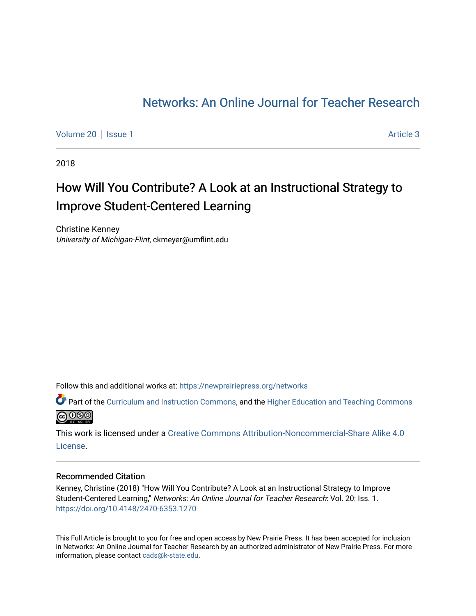# [Networks: An Online Journal for Teacher Research](https://newprairiepress.org/networks)

[Volume 20](https://newprairiepress.org/networks/vol20) | [Issue 1](https://newprairiepress.org/networks/vol20/iss1) Article 3

2018

# How Will You Contribute? A Look at an Instructional Strategy to Improve Student-Centered Learning

Christine Kenney University of Michigan-Flint, ckmeyer@umflint.edu

Follow this and additional works at: [https://newprairiepress.org/networks](https://newprairiepress.org/networks?utm_source=newprairiepress.org%2Fnetworks%2Fvol20%2Fiss1%2F3&utm_medium=PDF&utm_campaign=PDFCoverPages)

Part of the [Curriculum and Instruction Commons,](http://network.bepress.com/hgg/discipline/786?utm_source=newprairiepress.org%2Fnetworks%2Fvol20%2Fiss1%2F3&utm_medium=PDF&utm_campaign=PDFCoverPages) and the [Higher Education and Teaching Commons](http://network.bepress.com/hgg/discipline/806?utm_source=newprairiepress.org%2Fnetworks%2Fvol20%2Fiss1%2F3&utm_medium=PDF&utm_campaign=PDFCoverPages)  **@** 000

This work is licensed under a [Creative Commons Attribution-Noncommercial-Share Alike 4.0](https://creativecommons.org/licenses/by-nc-sa/4.0/) [License.](https://creativecommons.org/licenses/by-nc-sa/4.0/)

#### Recommended Citation

Kenney, Christine (2018) "How Will You Contribute? A Look at an Instructional Strategy to Improve Student-Centered Learning," Networks: An Online Journal for Teacher Research: Vol. 20: Iss. 1. <https://doi.org/10.4148/2470-6353.1270>

This Full Article is brought to you for free and open access by New Prairie Press. It has been accepted for inclusion in Networks: An Online Journal for Teacher Research by an authorized administrator of New Prairie Press. For more information, please contact [cads@k-state.edu](mailto:cads@k-state.edu).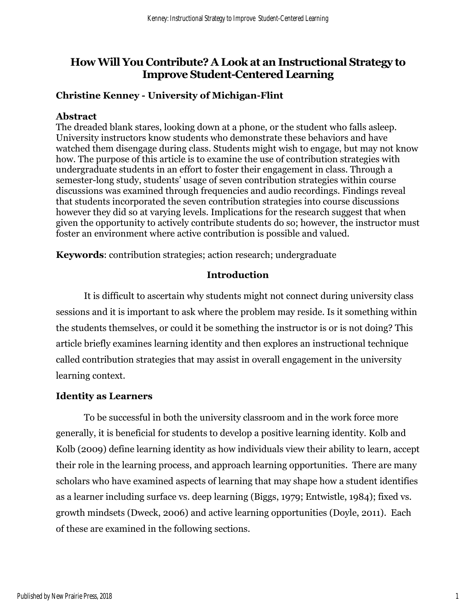## **How Will You Contribute? A Look at an Instructional Strategy to Improve Student-Centered Learning**

## **Christine Kenney - University of Michigan-Flint**

## **Abstract**

The dreaded blank stares, looking down at a phone, or the student who falls asleep. University instructors know students who demonstrate these behaviors and have watched them disengage during class. Students might wish to engage, but may not know how. The purpose of this article is to examine the use of contribution strategies with undergraduate students in an effort to foster their engagement in class. Through a semester-long study, students' usage of seven contribution strategies within course discussions was examined through frequencies and audio recordings. Findings reveal that students incorporated the seven contribution strategies into course discussions however they did so at varying levels. Implications for the research suggest that when given the opportunity to actively contribute students do so; however, the instructor must foster an environment where active contribution is possible and valued.

**Keywords**: contribution strategies; action research; undergraduate

## **Introduction**

It is difficult to ascertain why students might not connect during university class sessions and it is important to ask where the problem may reside. Is it something within the students themselves, or could it be something the instructor is or is not doing? This article briefly examines learning identity and then explores an instructional technique called contribution strategies that may assist in overall engagement in the university learning context.

## **Identity as Learners**

To be successful in both the university classroom and in the work force more generally, it is beneficial for students to develop a positive learning identity. Kolb and Kolb (2009) define learning identity as how individuals view their ability to learn, accept their role in the learning process, and approach learning opportunities. There are many scholars who have examined aspects of learning that may shape how a student identifies as a learner including surface vs. deep learning (Biggs, 1979; Entwistle, 1984); fixed vs. growth mindsets (Dweck, 2006) and active learning opportunities (Doyle, 2011). Each of these are examined in the following sections.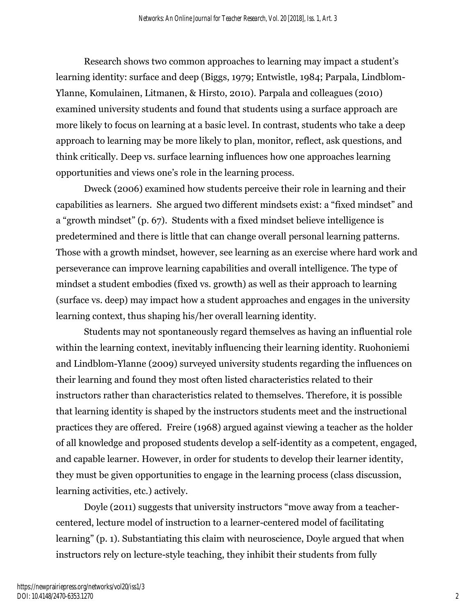Research shows two common approaches to learning may impact a student's learning identity: surface and deep (Biggs, 1979; Entwistle, 1984; Parpala, Lindblom-Ylanne, Komulainen, Litmanen, & Hirsto, 2010). Parpala and colleagues (2010) examined university students and found that students using a surface approach are more likely to focus on learning at a basic level. In contrast, students who take a deep approach to learning may be more likely to plan, monitor, reflect, ask questions, and think critically. Deep vs. surface learning influences how one approaches learning opportunities and views one's role in the learning process.

Dweck (2006) examined how students perceive their role in learning and their capabilities as learners. She argued two different mindsets exist: a "fixed mindset" and a "growth mindset" (p. 67). Students with a fixed mindset believe intelligence is predetermined and there is little that can change overall personal learning patterns. Those with a growth mindset, however, see learning as an exercise where hard work and perseverance can improve learning capabilities and overall intelligence. The type of mindset a student embodies (fixed vs. growth) as well as their approach to learning (surface vs. deep) may impact how a student approaches and engages in the university learning context, thus shaping his/her overall learning identity.

Students may not spontaneously regard themselves as having an influential role within the learning context, inevitably influencing their learning identity. Ruohoniemi and Lindblom-Ylanne (2009) surveyed university students regarding the influences on their learning and found they most often listed characteristics related to their instructors rather than characteristics related to themselves. Therefore, it is possible that learning identity is shaped by the instructors students meet and the instructional practices they are offered. Freire (1968) argued against viewing a teacher as the holder of all knowledge and proposed students develop a self-identity as a competent, engaged, and capable learner. However, in order for students to develop their learner identity, they must be given opportunities to engage in the learning process (class discussion, learning activities, etc.) actively.

Doyle (2011) suggests that university instructors "move away from a teachercentered, lecture model of instruction to a learner-centered model of facilitating learning" (p. 1). Substantiating this claim with neuroscience, Doyle argued that when instructors rely on lecture-style teaching, they inhibit their students from fully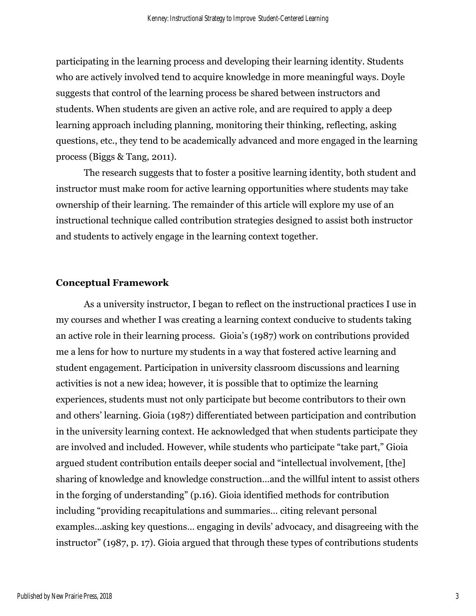participating in the learning process and developing their learning identity. Students who are actively involved tend to acquire knowledge in more meaningful ways. Doyle suggests that control of the learning process be shared between instructors and students. When students are given an active role, and are required to apply a deep learning approach including planning, monitoring their thinking, reflecting, asking questions, etc., they tend to be academically advanced and more engaged in the learning process (Biggs & Tang, 2011).

The research suggests that to foster a positive learning identity, both student and instructor must make room for active learning opportunities where students may take ownership of their learning. The remainder of this article will explore my use of an instructional technique called contribution strategies designed to assist both instructor and students to actively engage in the learning context together.

#### **Conceptual Framework**

As a university instructor, I began to reflect on the instructional practices I use in my courses and whether I was creating a learning context conducive to students taking an active role in their learning process. Gioia's (1987) work on contributions provided me a lens for how to nurture my students in a way that fostered active learning and student engagement. Participation in university classroom discussions and learning activities is not a new idea; however, it is possible that to optimize the learning experiences, students must not only participate but become contributors to their own and others' learning. Gioia (1987) differentiated between participation and contribution in the university learning context. He acknowledged that when students participate they are involved and included. However, while students who participate "take part," Gioia argued student contribution entails deeper social and "intellectual involvement, [the] sharing of knowledge and knowledge construction…and the willful intent to assist others in the forging of understanding" (p.16). Gioia identified methods for contribution including "providing recapitulations and summaries… citing relevant personal examples...asking key questions… engaging in devils' advocacy, and disagreeing with the instructor" (1987, p. 17). Gioia argued that through these types of contributions students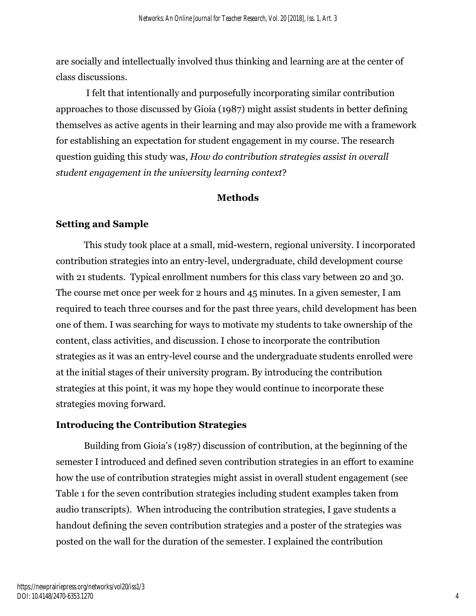are socially and intellectually involved thus thinking and learning are at the center of class discussions.

I felt that intentionally and purposefully incorporating similar contribution approaches to those discussed by Gioia (1987) might assist students in better defining themselves as active agents in their learning and may also provide me with a framework for establishing an expectation for student engagement in my course. The research question guiding this study was, *How do contribution strategies assist in overall student engagement in the university learning context*?

#### **Methods**

#### **Setting and Sample**

This study took place at a small, mid-western, regional university. I incorporated contribution strategies into an entry-level, undergraduate, child development course with 21 students. Typical enrollment numbers for this class vary between 20 and 30. The course met once per week for 2 hours and 45 minutes. In a given semester, I am required to teach three courses and for the past three years, child development has been one of them. I was searching for ways to motivate my students to take ownership of the content, class activities, and discussion. I chose to incorporate the contribution strategies as it was an entry-level course and the undergraduate students enrolled were at the initial stages of their university program. By introducing the contribution strategies at this point, it was my hope they would continue to incorporate these strategies moving forward.

#### **Introducing the Contribution Strategies**

Building from Gioia's (1987) discussion of contribution, at the beginning of the semester I introduced and defined seven contribution strategies in an effort to examine how the use of contribution strategies might assist in overall student engagement (see Table 1 for the seven contribution strategies including student examples taken from audio transcripts). When introducing the contribution strategies, I gave students a handout defining the seven contribution strategies and a poster of the strategies was posted on the wall for the duration of the semester. I explained the contribution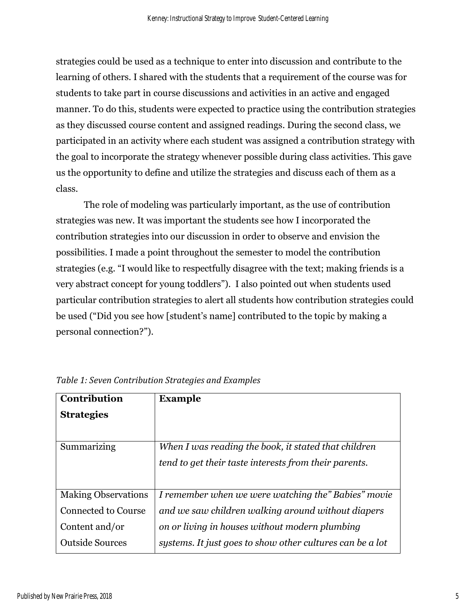strategies could be used as a technique to enter into discussion and contribute to the learning of others. I shared with the students that a requirement of the course was for students to take part in course discussions and activities in an active and engaged manner. To do this, students were expected to practice using the contribution strategies as they discussed course content and assigned readings. During the second class, we participated in an activity where each student was assigned a contribution strategy with the goal to incorporate the strategy whenever possible during class activities. This gave us the opportunity to define and utilize the strategies and discuss each of them as a class.

The role of modeling was particularly important, as the use of contribution strategies was new. It was important the students see how I incorporated the contribution strategies into our discussion in order to observe and envision the possibilities. I made a point throughout the semester to model the contribution strategies (e.g. "I would like to respectfully disagree with the text; making friends is a very abstract concept for young toddlers"). I also pointed out when students used particular contribution strategies to alert all students how contribution strategies could be used ("Did you see how [student's name] contributed to the topic by making a personal connection?").

| Contribution               | <b>Example</b>                                            |
|----------------------------|-----------------------------------------------------------|
| <b>Strategies</b>          |                                                           |
|                            |                                                           |
| Summarizing                | When I was reading the book, it stated that children      |
|                            | tend to get their taste interests from their parents.     |
|                            |                                                           |
| <b>Making Observations</b> | I remember when we were watching the" Babies" movie       |
| <b>Connected to Course</b> | and we saw children walking around without diapers        |
| Content and/or             | on or living in houses without modern plumbing            |
| <b>Outside Sources</b>     | systems. It just goes to show other cultures can be a lot |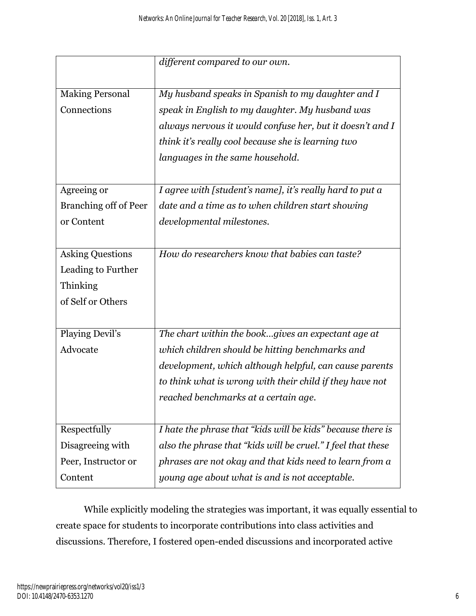|                         | different compared to our own.                               |
|-------------------------|--------------------------------------------------------------|
|                         |                                                              |
| <b>Making Personal</b>  | My husband speaks in Spanish to my daughter and I            |
| Connections             | speak in English to my daughter. My husband was              |
|                         | always nervous it would confuse her, but it doesn't and I    |
|                         | think it's really cool because she is learning two           |
|                         | languages in the same household.                             |
|                         |                                                              |
| Agreeing or             | I agree with [student's name], it's really hard to put a     |
| Branching off of Peer   | date and a time as to when children start showing            |
| or Content              | developmental milestones.                                    |
|                         |                                                              |
|                         |                                                              |
| <b>Asking Questions</b> | How do researchers know that babies can taste?               |
| Leading to Further      |                                                              |
| Thinking                |                                                              |
| of Self or Others       |                                                              |
|                         |                                                              |
| Playing Devil's         | The chart within the bookgives an expectant age at           |
| Advocate                | which children should be hitting benchmarks and              |
|                         | development, which although helpful, can cause parents       |
|                         | to think what is wrong with their child if they have not     |
|                         | reached benchmarks at a certain age.                         |
|                         |                                                              |
| Respectfully            | I hate the phrase that "kids will be kids" because there is  |
| Disagreeing with        | also the phrase that "kids will be cruel." I feel that these |
| Peer, Instructor or     | phrases are not okay and that kids need to learn from a      |
| Content                 | young age about what is and is not acceptable.               |

While explicitly modeling the strategies was important, it was equally essential to create space for students to incorporate contributions into class activities and discussions. Therefore, I fostered open-ended discussions and incorporated active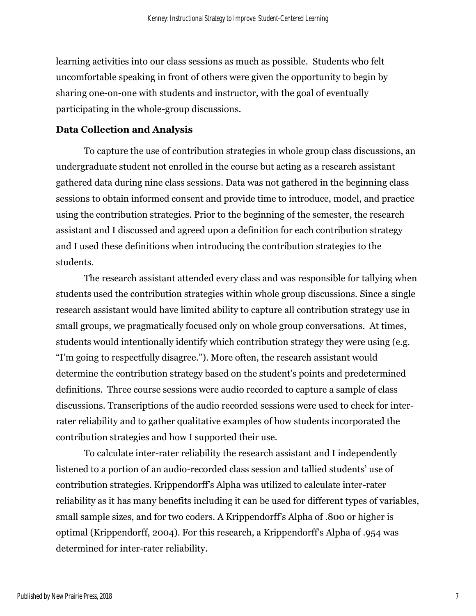learning activities into our class sessions as much as possible. Students who felt uncomfortable speaking in front of others were given the opportunity to begin by sharing one-on-one with students and instructor, with the goal of eventually participating in the whole-group discussions.

#### **Data Collection and Analysis**

To capture the use of contribution strategies in whole group class discussions, an undergraduate student not enrolled in the course but acting as a research assistant gathered data during nine class sessions. Data was not gathered in the beginning class sessions to obtain informed consent and provide time to introduce, model, and practice using the contribution strategies. Prior to the beginning of the semester, the research assistant and I discussed and agreed upon a definition for each contribution strategy and I used these definitions when introducing the contribution strategies to the students.

The research assistant attended every class and was responsible for tallying when students used the contribution strategies within whole group discussions. Since a single research assistant would have limited ability to capture all contribution strategy use in small groups, we pragmatically focused only on whole group conversations. At times, students would intentionally identify which contribution strategy they were using (e.g. "I'm going to respectfully disagree."). More often, the research assistant would determine the contribution strategy based on the student's points and predetermined definitions. Three course sessions were audio recorded to capture a sample of class discussions. Transcriptions of the audio recorded sessions were used to check for interrater reliability and to gather qualitative examples of how students incorporated the contribution strategies and how I supported their use.

To calculate inter-rater reliability the research assistant and I independently listened to a portion of an audio-recorded class session and tallied students' use of contribution strategies. Krippendorff's Alpha was utilized to calculate inter-rater reliability as it has many benefits including it can be used for different types of variables, small sample sizes, and for two coders. A Krippendorff's Alpha of .800 or higher is optimal (Krippendorff, 2004). For this research, a Krippendorff's Alpha of .954 was determined for inter-rater reliability.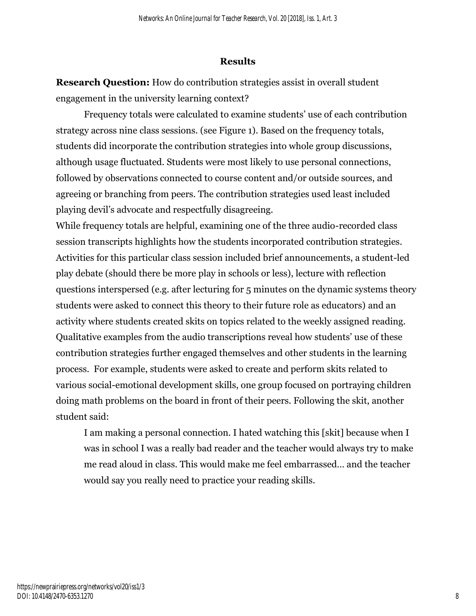## **Results**

**Research Question:** How do contribution strategies assist in overall student engagement in the university learning context?

Frequency totals were calculated to examine students' use of each contribution strategy across nine class sessions. (see Figure 1). Based on the frequency totals, students did incorporate the contribution strategies into whole group discussions, although usage fluctuated. Students were most likely to use personal connections, followed by observations connected to course content and/or outside sources, and agreeing or branching from peers. The contribution strategies used least included playing devil's advocate and respectfully disagreeing.

While frequency totals are helpful, examining one of the three audio-recorded class session transcripts highlights how the students incorporated contribution strategies. Activities for this particular class session included brief announcements, a student-led play debate (should there be more play in schools or less), lecture with reflection questions interspersed (e.g. after lecturing for 5 minutes on the dynamic systems theory students were asked to connect this theory to their future role as educators) and an activity where students created skits on topics related to the weekly assigned reading. Qualitative examples from the audio transcriptions reveal how students' use of these contribution strategies further engaged themselves and other students in the learning process. For example, students were asked to create and perform skits related to various social-emotional development skills, one group focused on portraying children doing math problems on the board in front of their peers. Following the skit, another student said:

I am making a personal connection. I hated watching this [skit] because when I was in school I was a really bad reader and the teacher would always try to make me read aloud in class. This would make me feel embarrassed… and the teacher would say you really need to practice your reading skills.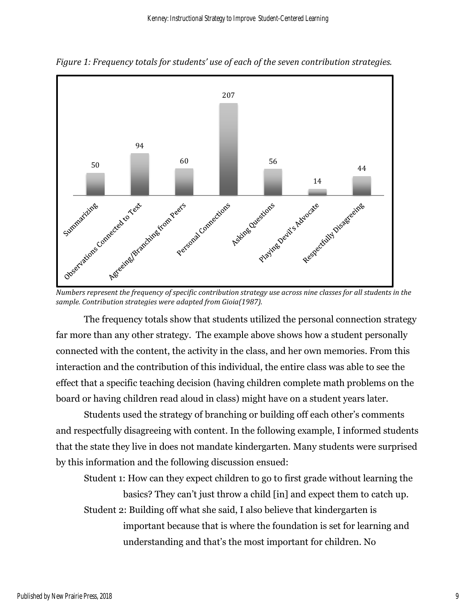

*Figure 1: Frequency totals for students' use of each of the seven contribution strategies.* 

*sample. Contribution strategies were adapted from Gioia(1987).*

The frequency totals show that students utilized the personal connection strategy far more than any other strategy. The example above shows how a student personally connected with the content, the activity in the class, and her own memories. From this interaction and the contribution of this individual, the entire class was able to see the effect that a specific teaching decision (having children complete math problems on the board or having children read aloud in class) might have on a student years later.

Students used the strategy of branching or building off each other's comments and respectfully disagreeing with content. In the following example, I informed students that the state they live in does not mandate kindergarten. Many students were surprised by this information and the following discussion ensued:

Student 1: How can they expect children to go to first grade without learning the basics? They can't just throw a child [in] and expect them to catch up. Student 2: Building off what she said, I also believe that kindergarten is important because that is where the foundation is set for learning and understanding and that's the most important for children. No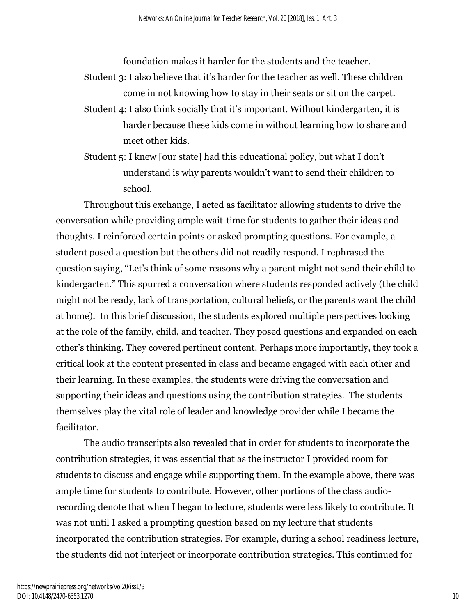foundation makes it harder for the students and the teacher.

- Student 3: I also believe that it's harder for the teacher as well. These children come in not knowing how to stay in their seats or sit on the carpet.
- Student 4: I also think socially that it's important. Without kindergarten, it is harder because these kids come in without learning how to share and meet other kids.
- Student 5: I knew [our state] had this educational policy, but what I don't understand is why parents wouldn't want to send their children to school.

Throughout this exchange, I acted as facilitator allowing students to drive the conversation while providing ample wait-time for students to gather their ideas and thoughts. I reinforced certain points or asked prompting questions. For example, a student posed a question but the others did not readily respond. I rephrased the question saying, "Let's think of some reasons why a parent might not send their child to kindergarten." This spurred a conversation where students responded actively (the child might not be ready, lack of transportation, cultural beliefs, or the parents want the child at home). In this brief discussion, the students explored multiple perspectives looking at the role of the family, child, and teacher. They posed questions and expanded on each other's thinking. They covered pertinent content. Perhaps more importantly, they took a critical look at the content presented in class and became engaged with each other and their learning. In these examples, the students were driving the conversation and supporting their ideas and questions using the contribution strategies. The students themselves play the vital role of leader and knowledge provider while I became the facilitator.

The audio transcripts also revealed that in order for students to incorporate the contribution strategies, it was essential that as the instructor I provided room for students to discuss and engage while supporting them. In the example above, there was ample time for students to contribute. However, other portions of the class audiorecording denote that when I began to lecture, students were less likely to contribute. It was not until I asked a prompting question based on my lecture that students incorporated the contribution strategies. For example, during a school readiness lecture, the students did not interject or incorporate contribution strategies. This continued for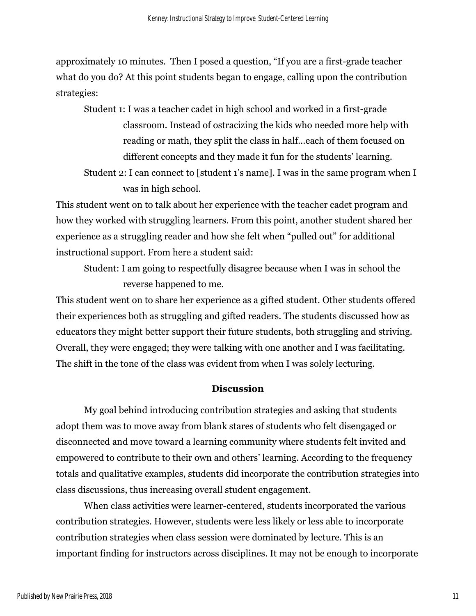approximately 10 minutes. Then I posed a question, "If you are a first-grade teacher what do you do? At this point students began to engage, calling upon the contribution strategies:

Student 1: I was a teacher cadet in high school and worked in a first-grade classroom. Instead of ostracizing the kids who needed more help with reading or math, they split the class in half…each of them focused on different concepts and they made it fun for the students' learning.

Student 2: I can connect to [student 1's name]. I was in the same program when I was in high school.

This student went on to talk about her experience with the teacher cadet program and how they worked with struggling learners. From this point, another student shared her experience as a struggling reader and how she felt when "pulled out" for additional instructional support. From here a student said:

Student: I am going to respectfully disagree because when I was in school the reverse happened to me.

This student went on to share her experience as a gifted student. Other students offered their experiences both as struggling and gifted readers. The students discussed how as educators they might better support their future students, both struggling and striving. Overall, they were engaged; they were talking with one another and I was facilitating. The shift in the tone of the class was evident from when I was solely lecturing.

#### **Discussion**

My goal behind introducing contribution strategies and asking that students adopt them was to move away from blank stares of students who felt disengaged or disconnected and move toward a learning community where students felt invited and empowered to contribute to their own and others' learning. According to the frequency totals and qualitative examples, students did incorporate the contribution strategies into class discussions, thus increasing overall student engagement.

When class activities were learner-centered, students incorporated the various contribution strategies. However, students were less likely or less able to incorporate contribution strategies when class session were dominated by lecture. This is an important finding for instructors across disciplines. It may not be enough to incorporate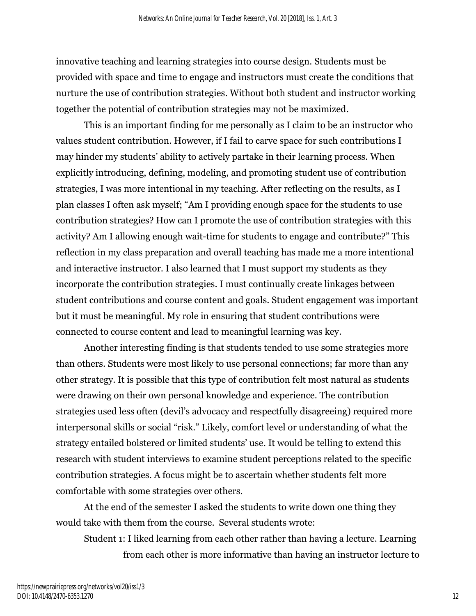innovative teaching and learning strategies into course design. Students must be provided with space and time to engage and instructors must create the conditions that nurture the use of contribution strategies. Without both student and instructor working together the potential of contribution strategies may not be maximized.

This is an important finding for me personally as I claim to be an instructor who values student contribution. However, if I fail to carve space for such contributions I may hinder my students' ability to actively partake in their learning process. When explicitly introducing, defining, modeling, and promoting student use of contribution strategies, I was more intentional in my teaching. After reflecting on the results, as I plan classes I often ask myself; "Am I providing enough space for the students to use contribution strategies? How can I promote the use of contribution strategies with this activity? Am I allowing enough wait-time for students to engage and contribute?" This reflection in my class preparation and overall teaching has made me a more intentional and interactive instructor. I also learned that I must support my students as they incorporate the contribution strategies. I must continually create linkages between student contributions and course content and goals. Student engagement was important but it must be meaningful. My role in ensuring that student contributions were connected to course content and lead to meaningful learning was key.

Another interesting finding is that students tended to use some strategies more than others. Students were most likely to use personal connections; far more than any other strategy. It is possible that this type of contribution felt most natural as students were drawing on their own personal knowledge and experience. The contribution strategies used less often (devil's advocacy and respectfully disagreeing) required more interpersonal skills or social "risk." Likely, comfort level or understanding of what the strategy entailed bolstered or limited students' use. It would be telling to extend this research with student interviews to examine student perceptions related to the specific contribution strategies. A focus might be to ascertain whether students felt more comfortable with some strategies over others.

At the end of the semester I asked the students to write down one thing they would take with them from the course. Several students wrote:

Student 1: I liked learning from each other rather than having a lecture. Learning from each other is more informative than having an instructor lecture to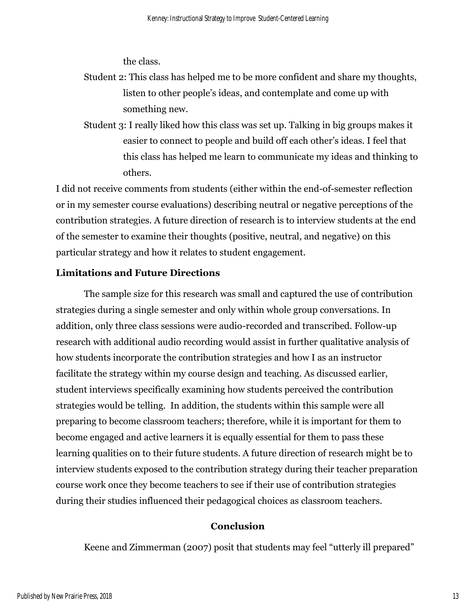the class.

## Student 2: This class has helped me to be more confident and share my thoughts, listen to other people's ideas, and contemplate and come up with something new.

Student 3: I really liked how this class was set up. Talking in big groups makes it easier to connect to people and build off each other's ideas. I feel that this class has helped me learn to communicate my ideas and thinking to others.

I did not receive comments from students (either within the end-of-semester reflection or in my semester course evaluations) describing neutral or negative perceptions of the contribution strategies. A future direction of research is to interview students at the end of the semester to examine their thoughts (positive, neutral, and negative) on this particular strategy and how it relates to student engagement.

#### **Limitations and Future Directions**

The sample size for this research was small and captured the use of contribution strategies during a single semester and only within whole group conversations. In addition, only three class sessions were audio-recorded and transcribed. Follow-up research with additional audio recording would assist in further qualitative analysis of how students incorporate the contribution strategies and how I as an instructor facilitate the strategy within my course design and teaching. As discussed earlier, student interviews specifically examining how students perceived the contribution strategies would be telling. In addition, the students within this sample were all preparing to become classroom teachers; therefore, while it is important for them to become engaged and active learners it is equally essential for them to pass these learning qualities on to their future students. A future direction of research might be to interview students exposed to the contribution strategy during their teacher preparation course work once they become teachers to see if their use of contribution strategies during their studies influenced their pedagogical choices as classroom teachers.

#### **Conclusion**

Keene and Zimmerman (2007) posit that students may feel "utterly ill prepared"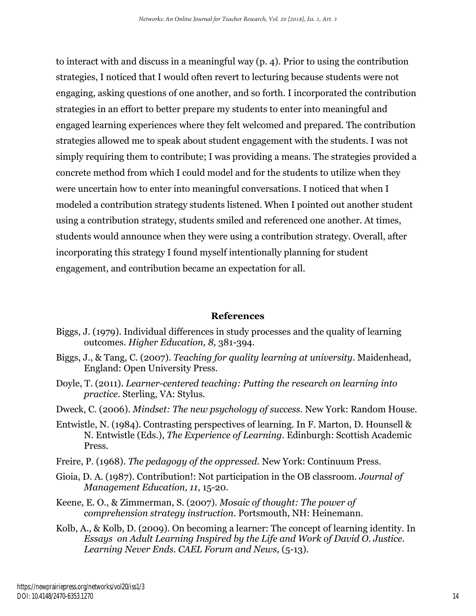to interact with and discuss in a meaningful way (p. 4). Prior to using the contribution strategies, I noticed that I would often revert to lecturing because students were not engaging, asking questions of one another, and so forth. I incorporated the contribution strategies in an effort to better prepare my students to enter into meaningful and engaged learning experiences where they felt welcomed and prepared. The contribution strategies allowed me to speak about student engagement with the students. I was not simply requiring them to contribute; I was providing a means. The strategies provided a concrete method from which I could model and for the students to utilize when they were uncertain how to enter into meaningful conversations. I noticed that when I modeled a contribution strategy students listened. When I pointed out another student using a contribution strategy, students smiled and referenced one another. At times, students would announce when they were using a contribution strategy. Overall, after incorporating this strategy I found myself intentionally planning for student engagement, and contribution became an expectation for all.

#### **References**

- Biggs, J. (1979). Individual differences in study processes and the quality of learning outcomes. *Higher Education, 8,* 381-394.
- Biggs, J., & Tang, C. (2007). *Teaching for quality learning at university*. Maidenhead, England: Open University Press.
- Doyle, T. (2011). *Learner-centered teaching: Putting the research on learning into practice*. Sterling, VA: Stylus.
- Dweck, C. (2006). *Mindset: The new psychology of success.* New York: Random House.
- Entwistle, N. (1984). Contrasting perspectives of learning. In F. Marton, D. Hounsell & N. Entwistle (Eds.), *The Experience of Learning*. Edinburgh: Scottish Academic Press.
- Freire, P. (1968). *The pedagogy of the oppressed.* New York: Continuum Press.
- Gioia, D. A. (1987). Contribution!: Not participation in the OB classroom. *Journal of Management Education, 11*, 15-20.
- Keene, E. O., & Zimmerman, S. (2007). *Mosaic of thought: The power of comprehension strategy instruction*. Portsmouth, NH: Heinemann.
- Kolb, A., & Kolb, D. (2009). On becoming a learner: The concept of learning identity. In *Essays on Adult Learning Inspired by the Life and Work of David O. Justice. Learning Never Ends. CAEL Forum and News,* (5-13)*.*